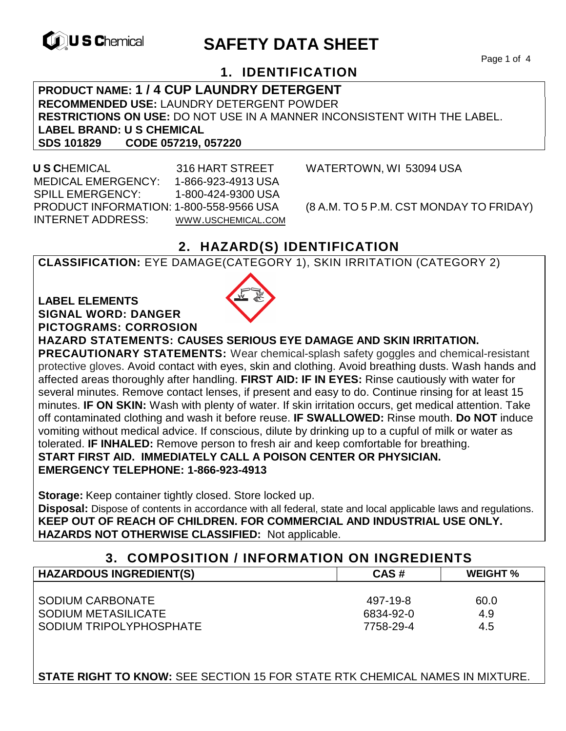

# **EXAMPLE THE SAFETY DATA SHEET**

Page 1 of 4

## **1. IDENTIFICATION**

**PRODUCT NAME: 1 / 4 CUP LAUNDRY DETERGENT RECOMMENDED USE:** LAUNDRY DETERGENT POWDER **RESTRICTIONS ON USE:** DO NOT USE IN A MANNER INCONSISTENT WITH THE LABEL. **LABEL BRAND: U S CHEMICAL SDS 101829 CODE 057219, 057220** 

 **U S C**HEMICAL 316 HART STREET WATERTOWN, WI 53094 USA MEDICAL EMERGENCY: 1-866-923-4913 USA SPILL EMERGENCY: 1-800-424-9300 USA PRODUCT INFORMATION: 1-800-558-9566 USA (8 A.M. TO 5 P.M. CST MONDAY TO FRIDAY) INTERNET ADDRESS: WWW.USCHEMICAL.COM

## **2. HAZARD(S) IDENTIFICATION**

**CLASSIFICATION:** EYE DAMAGE(CATEGORY 1), SKIN IRRITATION (CATEGORY 2)

#### **LABEL ELEMENTS SIGNAL WORD: DANGER PICTOGRAMS: CORROSION**



**HAZARD STATEMENTS: CAUSES SERIOUS EYE DAMAGE AND SKIN IRRITATION.** 

**PRECAUTIONARY STATEMENTS:** Wear chemical-splash safety goggles and chemical-resistant protective gloves. Avoid contact with eyes, skin and clothing. Avoid breathing dusts. Wash hands and affected areas thoroughly after handling. **FIRST AID: IF IN EYES:** Rinse cautiously with water for several minutes. Remove contact lenses, if present and easy to do. Continue rinsing for at least 15 minutes. **IF ON SKIN:** Wash with plenty of water. If skin irritation occurs, get medical attention. Take off contaminated clothing and wash it before reuse. **IF SWALLOWED:** Rinse mouth. **Do NOT** induce vomiting without medical advice. If conscious, dilute by drinking up to a cupful of milk or water as tolerated. **IF INHALED:** Remove person to fresh air and keep comfortable for breathing. **START FIRST AID. IMMEDIATELY CALL A POISON CENTER OR PHYSICIAN. EMERGENCY TELEPHONE: 1-866-923-4913**

**Storage:** Keep container tightly closed. Store locked up.

**Disposal:** Dispose of contents in accordance with all federal, state and local applicable laws and regulations. **KEEP OUT OF REACH OF CHILDREN. FOR COMMERCIAL AND INDUSTRIAL USE ONLY. HAZARDS NOT OTHERWISE CLASSIFIED:** Not applicable.

## **3. COMPOSITION / INFORMATION ON INGREDIENTS**

| <b>HAZARDOUS INGREDIENT(S)</b> | CAS#      | <b>WEIGHT</b> % |
|--------------------------------|-----------|-----------------|
|                                |           |                 |
| SODIUM CARBONATE               | 497-19-8  | 60.0            |
| SODIUM METASILICATE            | 6834-92-0 | 4.9             |
| SODIUM TRIPOLYPHOSPHATE        | 7758-29-4 | 4.5             |

**STATE RIGHT TO KNOW:** SEE SECTION 15 FOR STATE RTK CHEMICAL NAMES IN MIXTURE.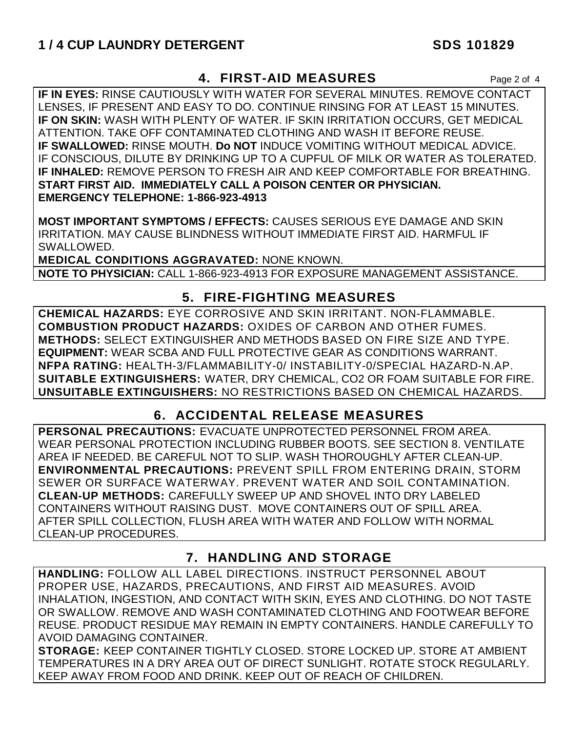## **4. FIRST-AID MEASURES** Page 2 of 4

**IF IN EYES:** RINSE CAUTIOUSLY WITH WATER FOR SEVERAL MINUTES. REMOVE CONTACT LENSES, IF PRESENT AND EASY TO DO. CONTINUE RINSING FOR AT LEAST 15 MINUTES. **IF ON SKIN:** WASH WITH PLENTY OF WATER. IF SKIN IRRITATION OCCURS, GET MEDICAL ATTENTION. TAKE OFF CONTAMINATED CLOTHING AND WASH IT BEFORE REUSE. **IF SWALLOWED:** RINSE MOUTH. **Do NOT** INDUCE VOMITING WITHOUT MEDICAL ADVICE. IF CONSCIOUS, DILUTE BY DRINKING UP TO A CUPFUL OF MILK OR WATER AS TOLERATED. **IF INHALED:** REMOVE PERSON TO FRESH AIR AND KEEP COMFORTABLE FOR BREATHING. **START FIRST AID. IMMEDIATELY CALL A POISON CENTER OR PHYSICIAN. EMERGENCY TELEPHONE: 1-866-923-4913**

**MOST IMPORTANT SYMPTOMS / EFFECTS:** CAUSES SERIOUS EYE DAMAGE AND SKIN IRRITATION. MAY CAUSE BLINDNESS WITHOUT IMMEDIATE FIRST AID. HARMFUL IF SWALLOWED.

**MEDICAL CONDITIONS AGGRAVATED:** NONE KNOWN.

**NOTE TO PHYSICIAN:** CALL 1-866-923-4913 FOR EXPOSURE MANAGEMENT ASSISTANCE.

## **5. FIRE-FIGHTING MEASURES**

**CHEMICAL HAZARDS:** EYE CORROSIVE AND SKIN IRRITANT. NON-FLAMMABLE. **COMBUSTION PRODUCT HAZARDS:** OXIDES OF CARBON AND OTHER FUMES. **METHODS:** SELECT EXTINGUISHER AND METHODS BASED ON FIRE SIZE AND TYPE. **EQUIPMENT:** WEAR SCBA AND FULL PROTECTIVE GEAR AS CONDITIONS WARRANT. **NFPA RATING:** HEALTH-3/FLAMMABILITY-0/ INSTABILITY-0/SPECIAL HAZARD-N.AP. **SUITABLE EXTINGUISHERS:** WATER, DRY CHEMICAL, CO2 OR FOAM SUITABLE FOR FIRE. **UNSUITABLE EXTINGUISHERS:** NO RESTRICTIONS BASED ON CHEMICAL HAZARDS.

## **6. ACCIDENTAL RELEASE MEASURES**

**PERSONAL PRECAUTIONS:** EVACUATE UNPROTECTED PERSONNEL FROM AREA. WEAR PERSONAL PROTECTION INCLUDING RUBBER BOOTS. SEE SECTION 8. VENTILATE AREA IF NEEDED. BE CAREFUL NOT TO SLIP. WASH THOROUGHLY AFTER CLEAN-UP. **ENVIRONMENTAL PRECAUTIONS:** PREVENT SPILL FROM ENTERING DRAIN, STORM SEWER OR SURFACE WATERWAY. PREVENT WATER AND SOIL CONTAMINATION. **CLEAN-UP METHODS:** CAREFULLY SWEEP UP AND SHOVEL INTO DRY LABELED CONTAINERS WITHOUT RAISING DUST. MOVE CONTAINERS OUT OF SPILL AREA. AFTER SPILL COLLECTION, FLUSH AREA WITH WATER AND FOLLOW WITH NORMAL CLEAN-UP PROCEDURES.

## **7. HANDLING AND STORAGE**

**HANDLING:** FOLLOW ALL LABEL DIRECTIONS. INSTRUCT PERSONNEL ABOUT PROPER USE, HAZARDS, PRECAUTIONS, AND FIRST AID MEASURES. AVOID INHALATION, INGESTION, AND CONTACT WITH SKIN, EYES AND CLOTHING. DO NOT TASTE OR SWALLOW. REMOVE AND WASH CONTAMINATED CLOTHING AND FOOTWEAR BEFORE REUSE. PRODUCT RESIDUE MAY REMAIN IN EMPTY CONTAINERS. HANDLE CAREFULLY TO AVOID DAMAGING CONTAINER.

**STORAGE:** KEEP CONTAINER TIGHTLY CLOSED. STORE LOCKED UP. STORE AT AMBIENT TEMPERATURES IN A DRY AREA OUT OF DIRECT SUNLIGHT. ROTATE STOCK REGULARLY. KEEP AWAY FROM FOOD AND DRINK. KEEP OUT OF REACH OF CHILDREN.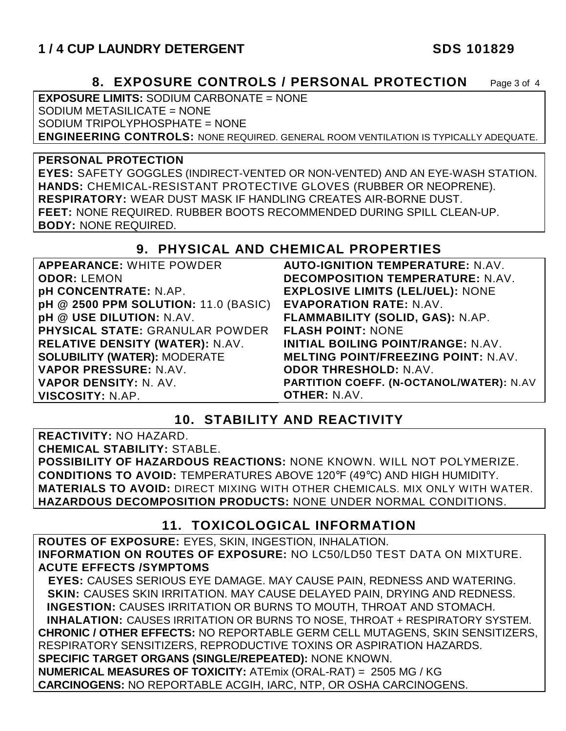## **1 / 4 CUP LAUNDRY DETERGENT SDS 101829**

### **8. EXPOSURE CONTROLS / PERSONAL PROTECTION** Page 3 of 4

**EXPOSURE LIMITS:** SODIUM CARBONATE = NONE SODIUM METASILICATE = NONE SODIUM TRIPOLYPHOSPHATE = NONE **ENGINEERING CONTROLS:** NONE REQUIRED. GENERAL ROOM VENTILATION IS TYPICALLY ADEQUATE.

#### **PERSONAL PROTECTION**

**EYES:** SAFETY GOGGLES (INDIRECT-VENTED OR NON-VENTED) AND AN EYE-WASH STATION. **HANDS:** CHEMICAL-RESISTANT PROTECTIVE GLOVES (RUBBER OR NEOPRENE). **RESPIRATORY:** WEAR DUST MASK IF HANDLING CREATES AIR-BORNE DUST. **FEET:** NONE REQUIRED. RUBBER BOOTS RECOMMENDED DURING SPILL CLEAN-UP. **BODY:** NONE REQUIRED.

#### **9. PHYSICAL AND CHEMICAL PROPERTIES**

| <b>APPEARANCE: WHITE POWDER</b>             | <b>AUTO-IGNITION TEMPERATURE: N.AV.</b>    |
|---------------------------------------------|--------------------------------------------|
| <b>ODOR: LEMON</b>                          | <b>DECOMPOSITION TEMPERATURE: N.AV.</b>    |
| <b>pH CONCENTRATE: N.AP.</b>                | <b>EXPLOSIVE LIMITS (LEL/UEL): NONE</b>    |
| <b>pH @ 2500 PPM SOLUTION: 11.0 (BASIC)</b> | <b>EVAPORATION RATE: N.AV.</b>             |
| pH @ USE DILUTION: N.AV.                    | FLAMMABILITY (SOLID, GAS): N.AP.           |
| PHYSICAL STATE: GRANULAR POWDER             | <b>FLASH POINT: NONE</b>                   |
| RELATIVE DENSITY (WATER): N.AV.             | <b>INITIAL BOILING POINT/RANGE: N.AV.</b>  |
| <b>SOLUBILITY (WATER): MODERATE</b>         | <b>MELTING POINT/FREEZING POINT: N.AV.</b> |
| VAPOR PRESSURE: N.AV.                       | <b>ODOR THRESHOLD: N.AV.</b>               |
| VAPOR DENSITY: N. AV.                       | PARTITION COEFF. (N-OCTANOL/WATER): N.AV   |
| VISCOSITY: N.AP.                            | <b>OTHER: N.AV.</b>                        |

#### **10. STABILITY AND REACTIVITY**

**REACTIVITY:** NO HAZARD.

**CHEMICAL STABILITY:** STABLE.

**POSSIBILITY OF HAZARDOUS REACTIONS:** NONE KNOWN. WILL NOT POLYMERIZE. **CONDITIONS TO AVOID:** TEMPERATURES ABOVE 120°F (49°C) AND HIGH HUMIDITY. **MATERIALS TO AVOID:** DIRECT MIXING WITH OTHER CHEMICALS. MIX ONLY WITH WATER. **HAZARDOUS DECOMPOSITION PRODUCTS:** NONE UNDER NORMAL CONDITIONS.

### **11. TOXICOLOGICAL INFORMATION**

**ROUTES OF EXPOSURE:** EYES, SKIN, INGESTION, INHALATION. **INFORMATION ON ROUTES OF EXPOSURE:** NO LC50/LD50 TEST DATA ON MIXTURE. **ACUTE EFFECTS /SYMPTOMS**

 **EYES:** CAUSES SERIOUS EYE DAMAGE. MAY CAUSE PAIN, REDNESS AND WATERING. **SKIN:** CAUSES SKIN IRRITATION. MAY CAUSE DELAYED PAIN, DRYING AND REDNESS. **INGESTION:** CAUSES IRRITATION OR BURNS TO MOUTH, THROAT AND STOMACH. **INHALATION:** CAUSES IRRITATION OR BURNS TO NOSE, THROAT + RESPIRATORY SYSTEM. **CHRONIC / OTHER EFFECTS:** NO REPORTABLE GERM CELL MUTAGENS, SKIN SENSITIZERS, RESPIRATORY SENSITIZERS, REPRODUCTIVE TOXINS OR ASPIRATION HAZARDS. **SPECIFIC TARGET ORGANS (SINGLE/REPEATED):** NONE KNOWN. **NUMERICAL MEASURES OF TOXICITY:** ATEmix (ORAL-RAT) = 2505 MG / KG **CARCINOGENS:** NO REPORTABLE ACGIH, IARC, NTP, OR OSHA CARCINOGENS.